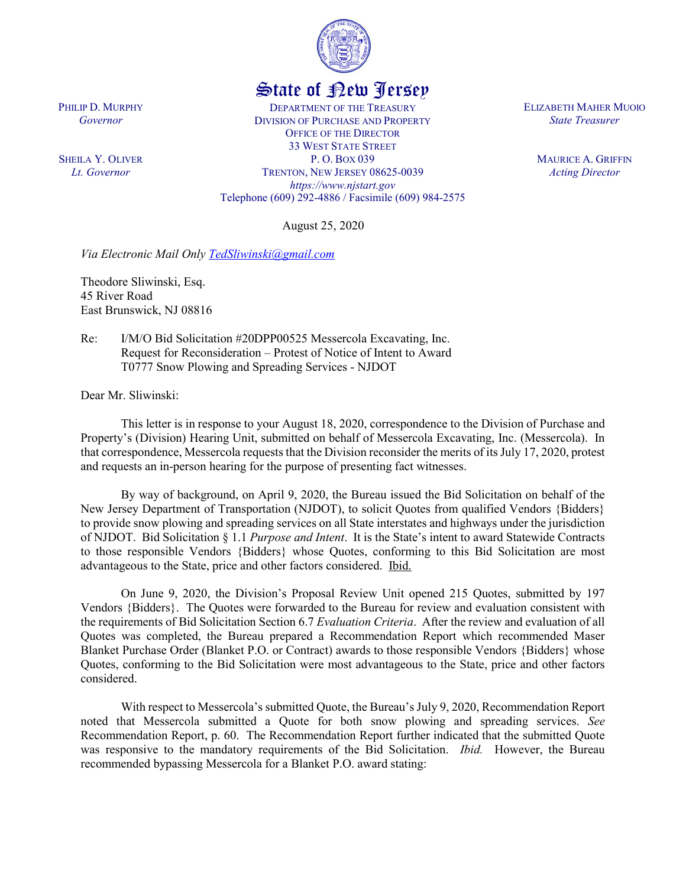

## State of New Jersey

DEPARTMENT OF THE TREASURY DIVISION OF PURCHASE AND PROPERTY OFFICE OF THE DIRECTOR 33 WEST STATE STREET P. O. BOX 039 TRENTON, NEW JERSEY 08625-0039 *https://www.njstart.gov* Telephone (609) 292-4886 / Facsimile (609) 984-2575

August 25, 2020

*Via Electronic Mail Only TedSliwinski@gmail.com* 

Theodore Sliwinski, Esq. 45 River Road East Brunswick, NJ 08816

PHILIP D. MURPHY *Governor*

SHEILA Y. OLIVER *Lt. Governor*

> Re: I/M/O Bid Solicitation #20DPP00525 Messercola Excavating, Inc. Request for Reconsideration – Protest of Notice of Intent to Award T0777 Snow Plowing and Spreading Services - NJDOT

Dear Mr. Sliwinski:

This letter is in response to your August 18, 2020, correspondence to the Division of Purchase and Property's (Division) Hearing Unit, submitted on behalf of Messercola Excavating, Inc. (Messercola). In that correspondence, Messercola requests that the Division reconsider the merits of its July 17, 2020, protest and requests an in-person hearing for the purpose of presenting fact witnesses.

By way of background, on April 9, 2020, the Bureau issued the Bid Solicitation on behalf of the New Jersey Department of Transportation (NJDOT), to solicit Quotes from qualified Vendors {Bidders} to provide snow plowing and spreading services on all State interstates and highways under the jurisdiction of NJDOT. Bid Solicitation § 1.1 *Purpose and Intent*. It is the State's intent to award Statewide Contracts to those responsible Vendors {Bidders} whose Quotes, conforming to this Bid Solicitation are most advantageous to the State, price and other factors considered. Ibid.

On June 9, 2020, the Division's Proposal Review Unit opened 215 Quotes, submitted by 197 Vendors {Bidders}. The Quotes were forwarded to the Bureau for review and evaluation consistent with the requirements of Bid Solicitation Section 6.7 *Evaluation Criteria*. After the review and evaluation of all Quotes was completed, the Bureau prepared a Recommendation Report which recommended Maser Blanket Purchase Order (Blanket P.O. or Contract) awards to those responsible Vendors {Bidders} whose Quotes, conforming to the Bid Solicitation were most advantageous to the State, price and other factors considered.

With respect to Messercola's submitted Quote, the Bureau's July 9, 2020, Recommendation Report noted that Messercola submitted a Quote for both snow plowing and spreading services. *See* Recommendation Report, p. 60. The Recommendation Report further indicated that the submitted Quote was responsive to the mandatory requirements of the Bid Solicitation. *Ibid.* However, the Bureau recommended bypassing Messercola for a Blanket P.O. award stating:

ELIZABETH MAHER MUOIO *State Treasurer*

> MAURICE A. GRIFFIN *Acting Director*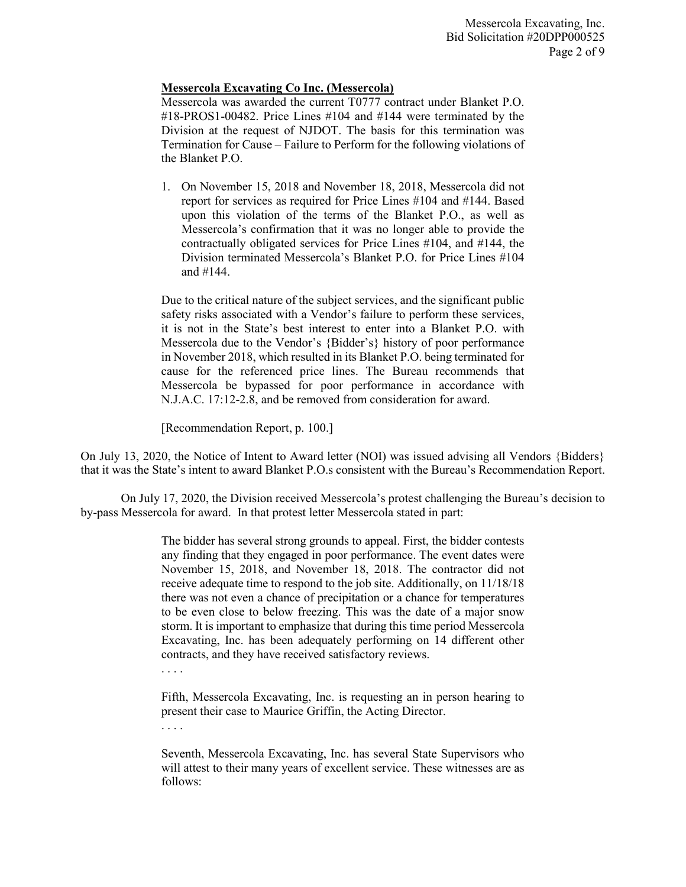## **Messercola Excavating Co Inc. (Messercola)**

Messercola was awarded the current T0777 contract under Blanket P.O. #18-PROS1-00482. Price Lines #104 and #144 were terminated by the Division at the request of NJDOT. The basis for this termination was Termination for Cause – Failure to Perform for the following violations of the Blanket P.O.

1. On November 15, 2018 and November 18, 2018, Messercola did not report for services as required for Price Lines #104 and #144. Based upon this violation of the terms of the Blanket P.O., as well as Messercola's confirmation that it was no longer able to provide the contractually obligated services for Price Lines #104, and #144, the Division terminated Messercola's Blanket P.O. for Price Lines #104 and #144.

Due to the critical nature of the subject services, and the significant public safety risks associated with a Vendor's failure to perform these services, it is not in the State's best interest to enter into a Blanket P.O. with Messercola due to the Vendor's {Bidder's} history of poor performance in November 2018, which resulted in its Blanket P.O. being terminated for cause for the referenced price lines. The Bureau recommends that Messercola be bypassed for poor performance in accordance with N.J.A.C. 17:12-2.8, and be removed from consideration for award.

[Recommendation Report, p. 100.]

On July 13, 2020, the Notice of Intent to Award letter (NOI) was issued advising all Vendors {Bidders} that it was the State's intent to award Blanket P.O.s consistent with the Bureau's Recommendation Report.

On July 17, 2020, the Division received Messercola's protest challenging the Bureau's decision to by-pass Messercola for award. In that protest letter Messercola stated in part:

> The bidder has several strong grounds to appeal. First, the bidder contests any finding that they engaged in poor performance. The event dates were November 15, 2018, and November 18, 2018. The contractor did not receive adequate time to respond to the job site. Additionally, on 11/18/18 there was not even a chance of precipitation or a chance for temperatures to be even close to below freezing. This was the date of a major snow storm. It is important to emphasize that during this time period Messercola Excavating, Inc. has been adequately performing on 14 different other contracts, and they have received satisfactory reviews.

. . . .

Fifth, Messercola Excavating, Inc. is requesting an in person hearing to present their case to Maurice Griffin, the Acting Director.

. . . .

Seventh, Messercola Excavating, Inc. has several State Supervisors who will attest to their many years of excellent service. These witnesses are as follows: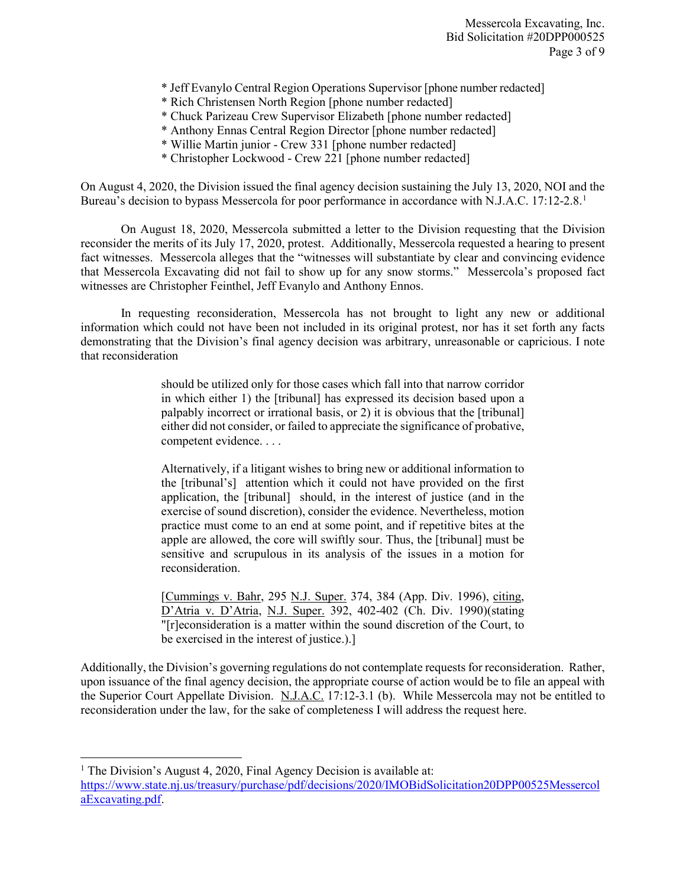Messercola Excavating, Inc. Bid Solicitation #20DPP000525 Page 3 of 9

- \* Jeff Evanylo Central Region Operations Supervisor [phone number redacted]
- \* Rich Christensen North Region [phone number redacted]
- \* Chuck Parizeau Crew Supervisor Elizabeth [phone number redacted]
- \* Anthony Ennas Central Region Director [phone number redacted]
- \* Willie Martin junior Crew 331 [phone number redacted]
- \* Christopher Lockwood Crew 221 [phone number redacted]

On August 4, 2020, the Division issued the final agency decision sustaining the July 13, 2020, NOI and the Bureau's decision to bypass Messercola for poor performance in accordance with N.J.A.C. 17:12-2.8.<sup>1</sup>

On August 18, 2020, Messercola submitted a letter to the Division requesting that the Division reconsider the merits of its July 17, 2020, protest. Additionally, Messercola requested a hearing to present fact witnesses. Messercola alleges that the "witnesses will substantiate by clear and convincing evidence that Messercola Excavating did not fail to show up for any snow storms." Messercola's proposed fact witnesses are Christopher Feinthel, Jeff Evanylo and Anthony Ennos.

In requesting reconsideration, Messercola has not brought to light any new or additional information which could not have been not included in its original protest, nor has it set forth any facts demonstrating that the Division's final agency decision was arbitrary, unreasonable or capricious. I note that reconsideration

> should be utilized only for those cases which fall into that narrow corridor in which either 1) the [tribunal] has expressed its decision based upon a palpably incorrect or irrational basis, or 2) it is obvious that the [tribunal] either did not consider, or failed to appreciate the significance of probative, competent evidence. . . .

> Alternatively, if a litigant wishes to bring new or additional information to the [tribunal's] attention which it could not have provided on the first application, the [tribunal] should, in the interest of justice (and in the exercise of sound discretion), consider the evidence. Nevertheless, motion practice must come to an end at some point, and if repetitive bites at the apple are allowed, the core will swiftly sour. Thus, the [tribunal] must be sensitive and scrupulous in its analysis of the issues in a motion for reconsideration.

> [Cummings v. Bahr, 295 N.J. Super. 374, 384 (App. Div. 1996), citing, D'Atria v. D'Atria, N.J. Super. 392, 402-402 (Ch. Div. 1990)(stating "[r]econsideration is a matter within the sound discretion of the Court, to be exercised in the interest of justice.).]

Additionally, the Division's governing regulations do not contemplate requests for reconsideration. Rather, upon issuance of the final agency decision, the appropriate course of action would be to file an appeal with the Superior Court Appellate Division. N.J.A.C. 17:12-3.1 (b). While Messercola may not be entitled to reconsideration under the law, for the sake of completeness I will address the request here.

 $\overline{\phantom{a}}$ 

<sup>&</sup>lt;sup>1</sup> The Division's August 4, 2020, Final Agency Decision is available at: https://www.state.nj.us/treasury/purchase/pdf/decisions/2020/IMOBidSolicitation20DPP00525Messercol aExcavating.pdf.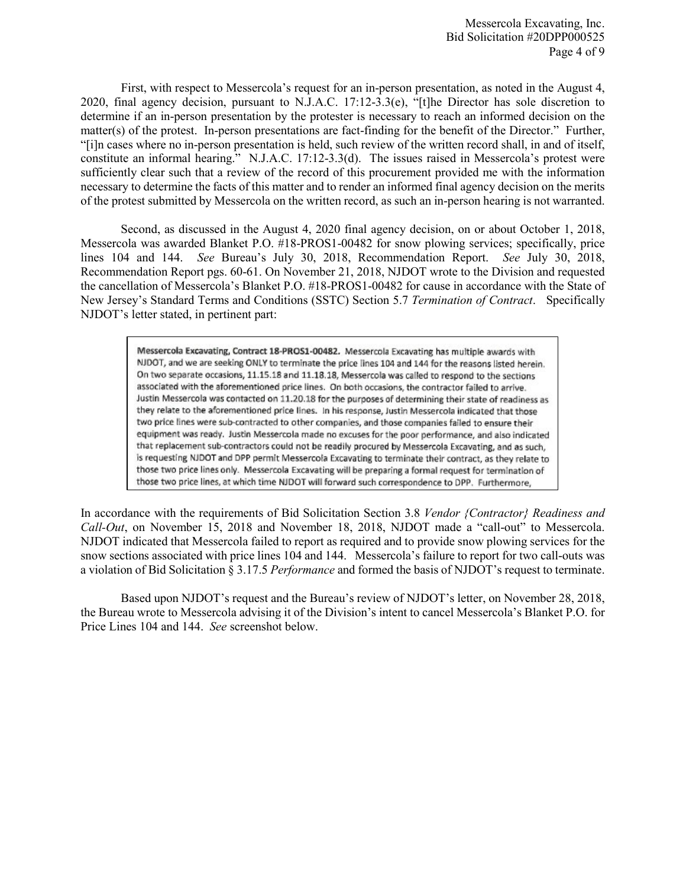First, with respect to Messercola's request for an in-person presentation, as noted in the August 4, 2020, final agency decision, pursuant to N.J.A.C. 17:12-3.3(e), "[t]he Director has sole discretion to determine if an in-person presentation by the protester is necessary to reach an informed decision on the matter(s) of the protest. In-person presentations are fact-finding for the benefit of the Director." Further, "[i]n cases where no in-person presentation is held, such review of the written record shall, in and of itself, constitute an informal hearing." N.J.A.C. 17:12-3.3(d). The issues raised in Messercola's protest were sufficiently clear such that a review of the record of this procurement provided me with the information necessary to determine the facts of this matter and to render an informed final agency decision on the merits of the protest submitted by Messercola on the written record, as such an in-person hearing is not warranted.

Second, as discussed in the August 4, 2020 final agency decision, on or about October 1, 2018, Messercola was awarded Blanket P.O. #18-PROS1-00482 for snow plowing services; specifically, price lines 104 and 144. *See* Bureau's July 30, 2018, Recommendation Report. *See* July 30, 2018, Recommendation Report pgs. 60-61. On November 21, 2018, NJDOT wrote to the Division and requested the cancellation of Messercola's Blanket P.O. #18-PROS1-00482 for cause in accordance with the State of New Jersey's Standard Terms and Conditions (SSTC) Section 5.7 *Termination of Contract*. Specifically NJDOT's letter stated, in pertinent part:

> Messercola Excavating, Contract 18-PROS1-00482. Messercola Excavating has multiple awards with NJDOT, and we are seeking ONLY to terminate the price lines 104 and 144 for the reasons listed herein. On two separate occasions, 11.15.18 and 11.18.18, Messercola was called to respond to the sections associated with the aforementioned price lines. On both occasions, the contractor failed to arrive. Justin Messercola was contacted on 11.20.18 for the purposes of determining their state of readiness as they relate to the aforementioned price lines. In his response, Justin Messercola indicated that those two price lines were sub-contracted to other companies, and those companies failed to ensure their equipment was ready. Justin Messercola made no excuses for the poor performance, and also indicated that replacement sub-contractors could not be readily procured by Messercola Excavating, and as such. is requesting NJDOT and DPP permit Messercola Excavating to terminate their contract, as they relate to those two price lines only. Messercola Excavating will be preparing a formal request for termination of those two price lines, at which time NJDOT will forward such correspondence to DPP. Furthermore.

In accordance with the requirements of Bid Solicitation Section 3.8 *Vendor {Contractor} Readiness and Call-Out*, on November 15, 2018 and November 18, 2018, NJDOT made a "call-out" to Messercola. NJDOT indicated that Messercola failed to report as required and to provide snow plowing services for the snow sections associated with price lines 104 and 144. Messercola's failure to report for two call-outs was a violation of Bid Solicitation § 3.17.5 *Performance* and formed the basis of NJDOT's request to terminate.

Based upon NJDOT's request and the Bureau's review of NJDOT's letter, on November 28, 2018, the Bureau wrote to Messercola advising it of the Division's intent to cancel Messercola's Blanket P.O. for Price Lines 104 and 144. *See* screenshot below.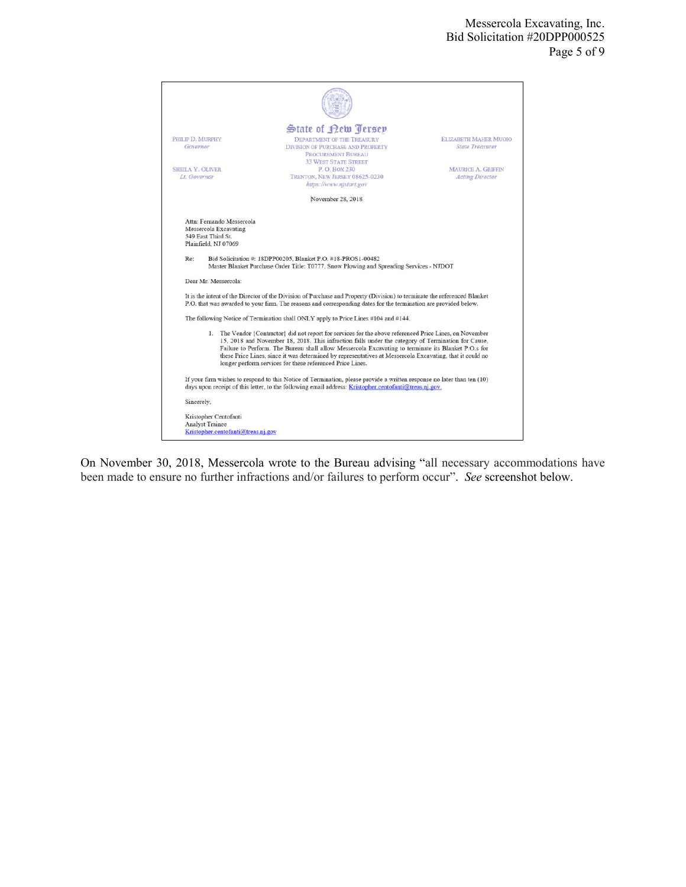|                                                                                       | State of Rew Jersey                                                                                                                                                                                                                                                                                                                                                                                                                                                                            |                                                        |
|---------------------------------------------------------------------------------------|------------------------------------------------------------------------------------------------------------------------------------------------------------------------------------------------------------------------------------------------------------------------------------------------------------------------------------------------------------------------------------------------------------------------------------------------------------------------------------------------|--------------------------------------------------------|
| PHILIP D. MURPHY<br>Governor                                                          | DEPARTMENT OF THE TREASURY<br><b>DIVISION OF PURCHASE AND PROPERTY</b><br><b>PROCUREMENT BUREAU</b>                                                                                                                                                                                                                                                                                                                                                                                            | <b>ELIZABETH MAHER MUOIO</b><br><b>State Treasurer</b> |
| <b>SHEILA Y. OLIVER</b><br>Lt. Governor                                               | <b>33 WEST STATE STREET</b><br>P. O. BOX 230<br>TRENTON, NEW JERSEY 08625-0230<br>https://www.njstart.gov                                                                                                                                                                                                                                                                                                                                                                                      | <b>MAURICE A. GRIFFIN</b><br><b>Acting Director</b>    |
|                                                                                       | November 28, 2018                                                                                                                                                                                                                                                                                                                                                                                                                                                                              |                                                        |
| Dear Mr. Messercola:                                                                  | It is the intent of the Director of the Division of Purchase and Property (Division) to terminate the referenced Blanket<br>P.O. that was awarded to your firm. The reasons and corresponding dates for the termination are provided below.                                                                                                                                                                                                                                                    |                                                        |
|                                                                                       | The following Notice of Termination shall ONLY apply to Price Lines #104 and #144.                                                                                                                                                                                                                                                                                                                                                                                                             |                                                        |
|                                                                                       | 1. The Vendor {Contractor} did not report for services for the above referenced Price Lines, on November<br>15, 2018 and November 18, 2018. This infraction falls under the category of Termination for Cause,<br>Failure to Perform. The Bureau shall allow Messercola Excavating to terminate its Blanket P.O.s for<br>these Price Lines, since it was determined by representatives at Messercola Excavating, that it could no<br>longer perform services for these referenced Price Lines. |                                                        |
|                                                                                       | If your firm wishes to respond to this Notice of Termination, please provide a written response no later than ten (10)<br>days upon receipt of this letter, to the following email address: Kristopher.centofanti@treas.nj.gov.                                                                                                                                                                                                                                                                |                                                        |
| Sincerely,                                                                            |                                                                                                                                                                                                                                                                                                                                                                                                                                                                                                |                                                        |
| Kristopher Centofanti<br><b>Analyst Trainee</b><br>Kristopher.centofanti@treas.nj.gov |                                                                                                                                                                                                                                                                                                                                                                                                                                                                                                |                                                        |

On November 30, 2018, Messercola wrote to the Bureau advising "all necessary accommodations have been made to ensure no further infractions and/or failures to perform occur". *See* screenshot below.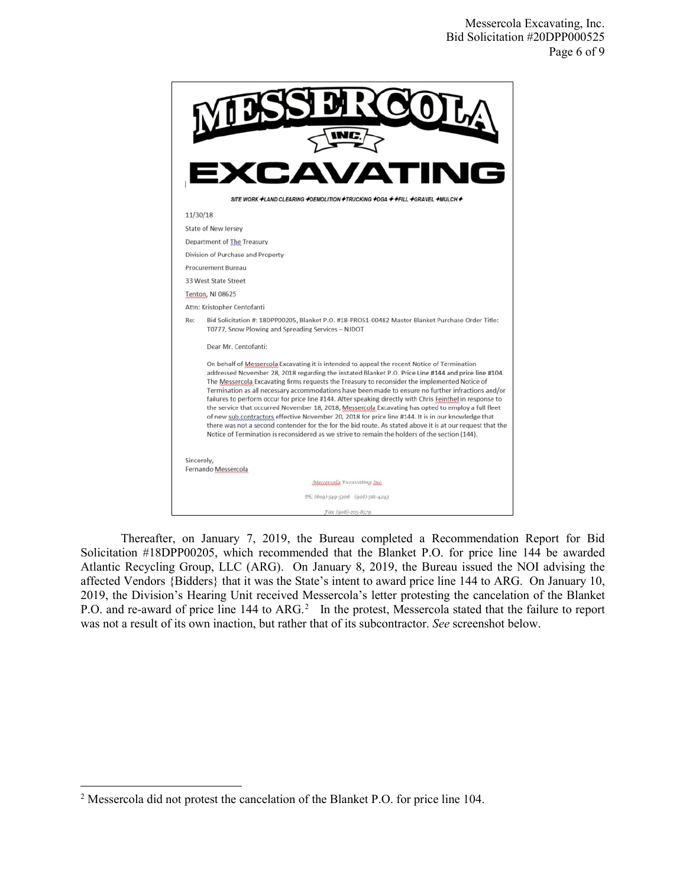

Thereafter, on January 7, 2019, the Bureau completed a Recommendation Report for Bid Solicitation #18DPP00205, which recommended that the Blanket P.O. for price line 144 be awarded Atlantic Recycling Group, LLC (ARG). On January 8, 2019, the Bureau issued the NOI advising the affected Vendors {Bidders} that it was the State's intent to award price line 144 to ARG. On January 10, 2019, the Division's Hearing Unit received Messercola's letter protesting the cancelation of the Blanket P.O. and re-award of price line 144 to ARG.<sup>2</sup> In the protest, Messercola stated that the failure to report was not a result of its own inaction, but rather that of its subcontractor. *See* screenshot below.

l

<sup>&</sup>lt;sup>2</sup> Messercola did not protest the cancelation of the Blanket P.O. for price line 104.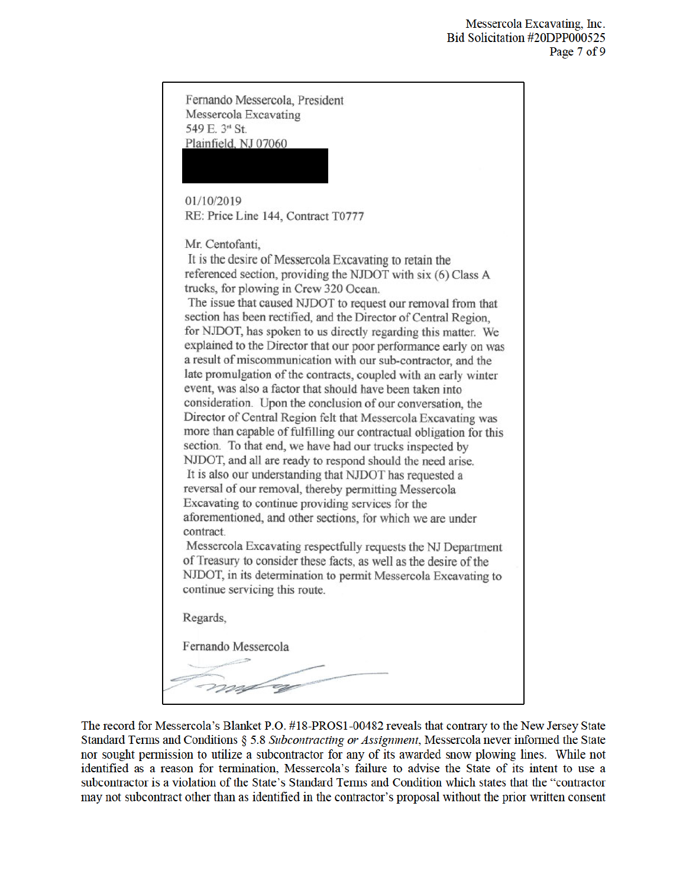| Fernando Messercola, President                                                                                                        |  |
|---------------------------------------------------------------------------------------------------------------------------------------|--|
| Messercola Excavating                                                                                                                 |  |
| 549 E. 3 <sup>nt</sup> St.                                                                                                            |  |
| Plainfield, NJ 07060                                                                                                                  |  |
|                                                                                                                                       |  |
|                                                                                                                                       |  |
| 01/10/2019<br>RE: Price Line 144, Contract T0777                                                                                      |  |
|                                                                                                                                       |  |
| Mr. Centofanti.                                                                                                                       |  |
| It is the desire of Messercola Excavating to retain the                                                                               |  |
| referenced section, providing the NJDOT with six (6) Class A<br>trucks, for plowing in Crew 320 Ocean.                                |  |
| The issue that caused NJDOT to request our removal from that                                                                          |  |
| section has been rectified, and the Director of Central Region,                                                                       |  |
| for NJDOT, has spoken to us directly regarding this matter. We                                                                        |  |
| explained to the Director that our poor performance early on was<br>a result of miscommunication with our sub-contractor, and the     |  |
| late promulgation of the contracts, coupled with an early winter                                                                      |  |
| event, was also a factor that should have been taken into                                                                             |  |
| consideration. Upon the conclusion of our conversation, the                                                                           |  |
| Director of Central Region felt that Messercola Excavating was<br>more than capable of fulfilling our contractual obligation for this |  |
| section. To that end, we have had our trucks inspected by                                                                             |  |
| NJDOT, and all are ready to respond should the need arise.                                                                            |  |
| It is also our understanding that NJDOT has requested a                                                                               |  |
| reversal of our removal, thereby permitting Messercola<br>Excavating to continue providing services for the                           |  |
| aforementioned, and other sections, for which we are under                                                                            |  |
| contract.                                                                                                                             |  |
| Messercola Excavating respectfully requests the NJ Department<br>of Treasury to consider these facts, as well as the desire of the    |  |
| NJDOT, in its determination to permit Messercola Excavating to                                                                        |  |
| continue servicing this route.                                                                                                        |  |
|                                                                                                                                       |  |
| Regards,                                                                                                                              |  |
| Fernando Messercola                                                                                                                   |  |
|                                                                                                                                       |  |
|                                                                                                                                       |  |
|                                                                                                                                       |  |

The record for Messercola's Blanket P.O. #18-PROS1-00482 reveals that contrary to the New Jersey State Standard Terms and Conditions § 5.8 Subcontracting or Assignment, Messercola never informed the State nor sought permission to utilize a subcontractor for any of its awarded snow plowing lines. While not identified as a reason for termination, Messercola's failure to advise the State of its intent to use a subcontractor is a violation of the State's Standard Terms and Condition which states that the "contractor may not subcontract other than as identified in the contractor's proposal without the prior written consent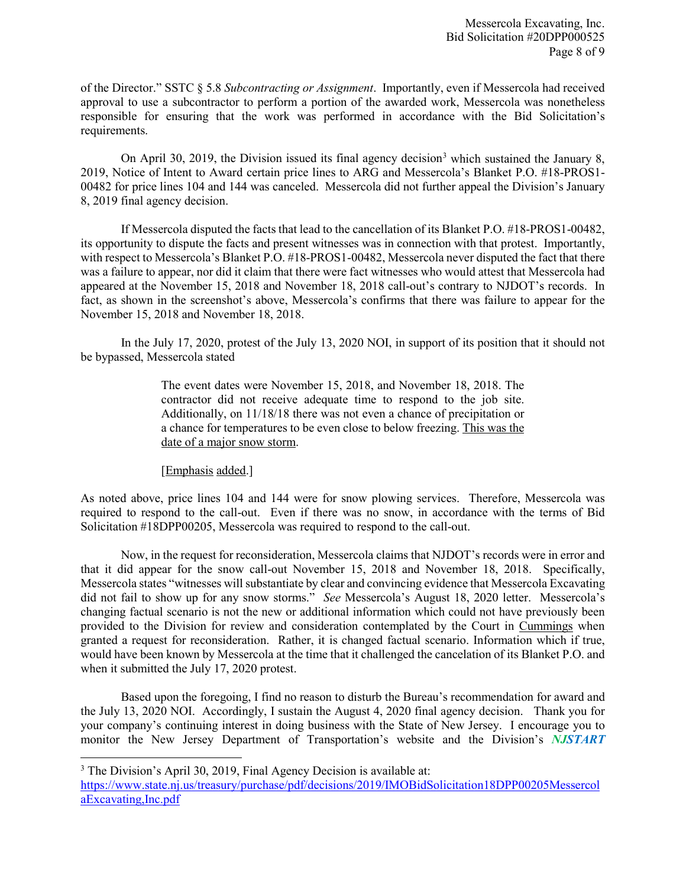of the Director." SSTC § 5.8 *Subcontracting or Assignment*. Importantly, even if Messercola had received approval to use a subcontractor to perform a portion of the awarded work, Messercola was nonetheless responsible for ensuring that the work was performed in accordance with the Bid Solicitation's requirements.

On April 30, 2019, the Division issued its final agency decision<sup>3</sup> which sustained the January 8, 2019, Notice of Intent to Award certain price lines to ARG and Messercola's Blanket P.O. #18-PROS1- 00482 for price lines 104 and 144 was canceled. Messercola did not further appeal the Division's January 8, 2019 final agency decision.

If Messercola disputed the facts that lead to the cancellation of its Blanket P.O. #18-PROS1-00482, its opportunity to dispute the facts and present witnesses was in connection with that protest. Importantly, with respect to Messercola's Blanket P.O. #18-PROS1-00482, Messercola never disputed the fact that there was a failure to appear, nor did it claim that there were fact witnesses who would attest that Messercola had appeared at the November 15, 2018 and November 18, 2018 call-out's contrary to NJDOT's records. In fact, as shown in the screenshot's above, Messercola's confirms that there was failure to appear for the November 15, 2018 and November 18, 2018.

 In the July 17, 2020, protest of the July 13, 2020 NOI, in support of its position that it should not be bypassed, Messercola stated

> The event dates were November 15, 2018, and November 18, 2018. The contractor did not receive adequate time to respond to the job site. Additionally, on 11/18/18 there was not even a chance of precipitation or a chance for temperatures to be even close to below freezing. This was the date of a major snow storm.

[Emphasis added.]

As noted above, price lines 104 and 144 were for snow plowing services. Therefore, Messercola was required to respond to the call-out. Even if there was no snow, in accordance with the terms of Bid Solicitation #18DPP00205, Messercola was required to respond to the call-out.

Now, in the request for reconsideration, Messercola claims that NJDOT's records were in error and that it did appear for the snow call-out November 15, 2018 and November 18, 2018. Specifically, Messercola states "witnesses will substantiate by clear and convincing evidence that Messercola Excavating did not fail to show up for any snow storms." *See* Messercola's August 18, 2020 letter. Messercola's changing factual scenario is not the new or additional information which could not have previously been provided to the Division for review and consideration contemplated by the Court in Cummings when granted a request for reconsideration. Rather, it is changed factual scenario. Information which if true, would have been known by Messercola at the time that it challenged the cancelation of its Blanket P.O. and when it submitted the July 17, 2020 protest.

Based upon the foregoing, I find no reason to disturb the Bureau's recommendation for award and the July 13, 2020 NOI. Accordingly, I sustain the August 4, 2020 final agency decision. Thank you for your company's continuing interest in doing business with the State of New Jersey. I encourage you to monitor the New Jersey Department of Transportation's website and the Division's *NJSTART*

 $\overline{\phantom{a}}$ 

<sup>&</sup>lt;sup>3</sup> The Division's April 30, 2019, Final Agency Decision is available at:

https://www.state.nj.us/treasury/purchase/pdf/decisions/2019/IMOBidSolicitation18DPP00205Messercol aExcavating,Inc.pdf